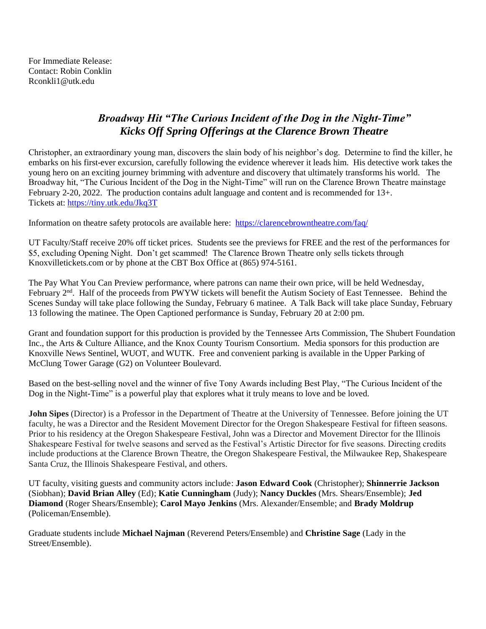For Immediate Release: Contact: Robin Conklin Rconkli1@utk.edu

## *Broadway Hit "The Curious Incident of the Dog in the Night-Time" Kicks Off Spring Offerings at the Clarence Brown Theatre*

Christopher, an extraordinary young man, discovers the slain body of his neighbor's dog. Determine to find the killer, he embarks on his first-ever excursion, carefully following the evidence wherever it leads him. His detective work takes the young hero on an exciting journey brimming with adventure and discovery that ultimately transforms his world. The Broadway hit, "The Curious Incident of the Dog in the Night-Time" will run on the Clarence Brown Theatre mainstage February 2-20, 2022. The production contains adult language and content and is recommended for 13+. Tickets at: [https://tiny.utk.edu/Jkq3T](https://l.facebook.com/l.php?u=https%3A%2F%2Ftiny.utk.edu%2FJkq3T%3Ffbclid%3DIwAR1SAdQmxD8L9WL3jvgr9JAF4VERPvyuaye-yaI4dlkAUYex0REJYYUsVdc&h=AT3XT9QzZa0YJtOb127kWHWLP7eLTSYszXYI9Hdnvtib-96Sb5Mk5aXDnaFyuj0gCW_w0HqwEHblfcKWuNW11uBe-vMXKewLESJcPIm1jCwWy43c90oyc7JszMOcfkFjUVwbki2kgCE2m-i9pQ&__tn__=-UK-R&c%5b0%5d=AT0UJWRpfI4eg0GMctuMjRn4iCBKkSRMe3yAqU2mR5eDcjBCHv1LAs7O6uz9zLov9xj60gMEqeUaXj8MuBFweJlQ4epL94kAGBiXuNo2EWwZTAu0qr3w5dTj2oQHUeHKVKep7URBSFZZ-wGcCcuGI39ROVxaSyxaSRGSCuTmkHW--4E_2vgUEldN3GHgsvXWysXnMw)

Information on theatre safety protocols are available here: <https://clarencebrowntheatre.com/faq/>

UT Faculty/Staff receive 20% off ticket prices. Students see the previews for FREE and the rest of the performances for \$5, excluding Opening Night. Don't get scammed! The Clarence Brown Theatre only sells tickets through Knoxvilletickets.com or by phone at the CBT Box Office at (865) 974-5161.

The Pay What You Can Preview performance, where patrons can name their own price, will be held Wednesday, February 2<sup>nd</sup>. Half of the proceeds from PWYW tickets will benefit the Autism Society of East Tennessee. Behind the Scenes Sunday will take place following the Sunday, February 6 matinee. A Talk Back will take place Sunday, February 13 following the matinee. The Open Captioned performance is Sunday, February 20 at 2:00 pm.

Grant and foundation support for this production is provided by the Tennessee Arts Commission, The Shubert Foundation Inc., the Arts & Culture Alliance, and the Knox County Tourism Consortium. Media sponsors for this production are Knoxville News Sentinel, WUOT, and WUTK. Free and convenient parking is available in the Upper Parking of McClung Tower Garage (G2) on Volunteer Boulevard.

Based on the best-selling novel and the winner of five Tony Awards including Best Play, "The Curious Incident of the Dog in the Night-Time" is a powerful play that explores what it truly means to love and be loved.

**John Sipes** (Director) is a Professor in the Department of Theatre at the University of Tennessee. Before joining the UT faculty, he was a Director and the Resident Movement Director for the Oregon Shakespeare Festival for fifteen seasons. Prior to his residency at the Oregon Shakespeare Festival, John was a Director and Movement Director for the Illinois Shakespeare Festival for twelve seasons and served as the Festival's Artistic Director for five seasons. Directing credits include productions at the Clarence Brown Theatre, the Oregon Shakespeare Festival, the Milwaukee Rep, Shakespeare Santa Cruz, the Illinois Shakespeare Festival, and others.

UT faculty, visiting guests and community actors include: **Jason Edward Cook** (Christopher); **Shinnerrie Jackson** (Siobhan); **David Brian Alley** (Ed); **Katie Cunningham** (Judy); **Nancy Duckles** (Mrs. Shears/Ensemble); **Jed Diamond** (Roger Shears/Ensemble); **Carol Mayo Jenkins** (Mrs. Alexander/Ensemble; and **Brady Moldrup** (Policeman/Ensemble).

Graduate students include **Michael Najman** (Reverend Peters/Ensemble) and **Christine Sage** (Lady in the Street/Ensemble).